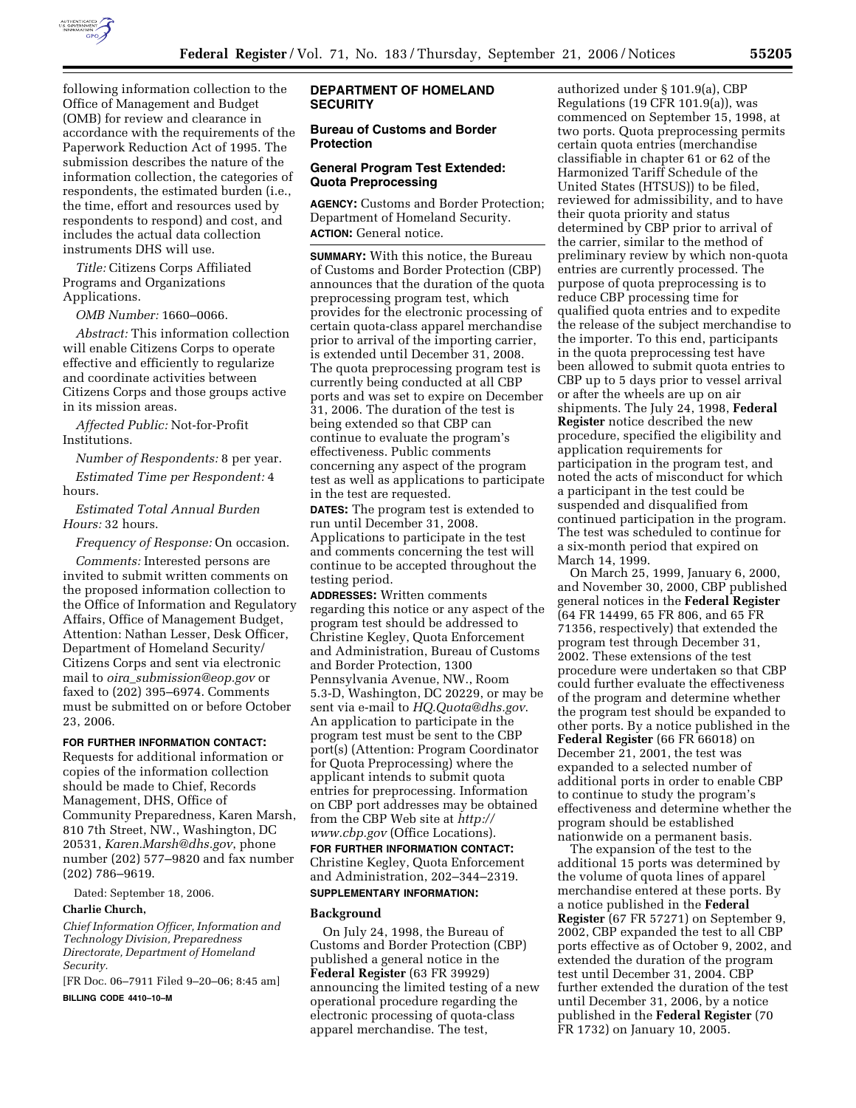

following information collection to the Office of Management and Budget (OMB) for review and clearance in accordance with the requirements of the Paperwork Reduction Act of 1995. The submission describes the nature of the information collection, the categories of respondents, the estimated burden (i.e., the time, effort and resources used by respondents to respond) and cost, and includes the actual data collection instruments DHS will use.

*Title:* Citizens Corps Affiliated Programs and Organizations Applications.

*OMB Number:* 1660–0066.

*Abstract:* This information collection will enable Citizens Corps to operate effective and efficiently to regularize and coordinate activities between Citizens Corps and those groups active in its mission areas.

*Affected Public:* Not-for-Profit Institutions.

*Number of Respondents:* 8 per year. *Estimated Time per Respondent:* 4 hours.

*Estimated Total Annual Burden Hours:* 32 hours.

*Frequency of Response:* On occasion.

*Comments:* Interested persons are invited to submit written comments on the proposed information collection to the Office of Information and Regulatory Affairs, Office of Management Budget, Attention: Nathan Lesser, Desk Officer, Department of Homeland Security/ Citizens Corps and sent via electronic mail to *oira*\_*submission@eop.gov* or faxed to (202) 395–6974. Comments must be submitted on or before October 23, 2006.

# **FOR FURTHER INFORMATION CONTACT:**

Requests for additional information or copies of the information collection should be made to Chief, Records Management, DHS, Office of Community Preparedness, Karen Marsh, 810 7th Street, NW., Washington, DC 20531, *Karen.Marsh@dhs.gov*, phone number (202) 577–9820 and fax number (202) 786–9619.

Dated: September 18, 2006.

#### **Charlie Church,**

*Chief Information Officer, Information and Technology Division, Preparedness Directorate, Department of Homeland Security.* 

[FR Doc. 06–7911 Filed 9–20–06; 8:45 am] **BILLING CODE 4410–10–M** 

# **DEPARTMENT OF HOMELAND SECURITY**

# **Bureau of Customs and Border Protection**

## **General Program Test Extended: Quota Preprocessing**

**AGENCY:** Customs and Border Protection; Department of Homeland Security. **ACTION:** General notice.

**SUMMARY:** With this notice, the Bureau of Customs and Border Protection (CBP) announces that the duration of the quota preprocessing program test, which provides for the electronic processing of certain quota-class apparel merchandise prior to arrival of the importing carrier, is extended until December 31, 2008. The quota preprocessing program test is currently being conducted at all CBP ports and was set to expire on December 31, 2006. The duration of the test is being extended so that CBP can continue to evaluate the program's effectiveness. Public comments concerning any aspect of the program test as well as applications to participate in the test are requested.

**DATES:** The program test is extended to run until December 31, 2008.

Applications to participate in the test and comments concerning the test will continue to be accepted throughout the testing period.

**ADDRESSES:** Written comments regarding this notice or any aspect of the program test should be addressed to Christine Kegley, Quota Enforcement and Administration, Bureau of Customs and Border Protection, 1300 Pennsylvania Avenue, NW., Room 5.3-D, Washington, DC 20229, or may be sent via e-mail to *HQ.Quota@dhs.gov*. An application to participate in the program test must be sent to the CBP port(s) (Attention: Program Coordinator for Quota Preprocessing) where the applicant intends to submit quota entries for preprocessing. Information on CBP port addresses may be obtained from the CBP Web site at *http:// www.cbp.gov* (Office Locations).

**FOR FURTHER INFORMATION CONTACT:**  Christine Kegley, Quota Enforcement and Administration, 202–344–2319. **SUPPLEMENTARY INFORMATION:** 

#### **Background**

On July 24, 1998, the Bureau of Customs and Border Protection (CBP) published a general notice in the **Federal Register** (63 FR 39929) announcing the limited testing of a new operational procedure regarding the electronic processing of quota-class apparel merchandise. The test,

authorized under § 101.9(a), CBP Regulations (19 CFR 101.9(a)), was commenced on September 15, 1998, at two ports. Quota preprocessing permits certain quota entries (merchandise classifiable in chapter 61 or 62 of the Harmonized Tariff Schedule of the United States (HTSUS)) to be filed, reviewed for admissibility, and to have their quota priority and status determined by CBP prior to arrival of the carrier, similar to the method of preliminary review by which non-quota entries are currently processed. The purpose of quota preprocessing is to reduce CBP processing time for qualified quota entries and to expedite the release of the subject merchandise to the importer. To this end, participants in the quota preprocessing test have been allowed to submit quota entries to CBP up to 5 days prior to vessel arrival or after the wheels are up on air shipments. The July 24, 1998, **Federal Register** notice described the new procedure, specified the eligibility and application requirements for participation in the program test, and noted the acts of misconduct for which a participant in the test could be suspended and disqualified from continued participation in the program. The test was scheduled to continue for a six-month period that expired on March 14, 1999.

On March 25, 1999, January 6, 2000, and November 30, 2000, CBP published general notices in the **Federal Register**  (64 FR 14499, 65 FR 806, and 65 FR 71356, respectively) that extended the program test through December 31, 2002. These extensions of the test procedure were undertaken so that CBP could further evaluate the effectiveness of the program and determine whether the program test should be expanded to other ports. By a notice published in the **Federal Register** (66 FR 66018) on December 21, 2001, the test was expanded to a selected number of additional ports in order to enable CBP to continue to study the program's effectiveness and determine whether the program should be established nationwide on a permanent basis.

The expansion of the test to the additional 15 ports was determined by the volume of quota lines of apparel merchandise entered at these ports. By a notice published in the **Federal Register** (67 FR 57271) on September 9, 2002, CBP expanded the test to all CBP ports effective as of October 9, 2002, and extended the duration of the program test until December 31, 2004. CBP further extended the duration of the test until December 31, 2006, by a notice published in the **Federal Register** (70 FR 1732) on January 10, 2005.